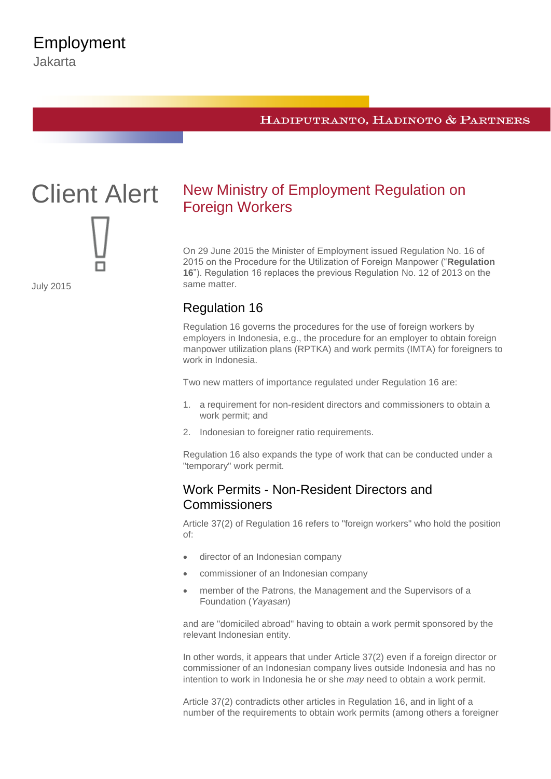#### HADIPUTRANTO, HADINOTO & PARTNERS



July 2015

# New Ministry of Employment Regulation on Foreign Workers

On 29 June 2015 the Minister of Employment issued Regulation No. 16 of 2015 on the Procedure for the Utilization of Foreign Manpower ("**Regulation 16**"). Regulation 16 replaces the previous Regulation No. 12 of 2013 on the same matter.

# Regulation 16

Regulation 16 governs the procedures for the use of foreign workers by employers in Indonesia, e.g., the procedure for an employer to obtain foreign manpower utilization plans (RPTKA) and work permits (IMTA) for foreigners to work in Indonesia.

Two new matters of importance regulated under Regulation 16 are:

- 1. a requirement for non-resident directors and commissioners to obtain a work permit; and
- 2. Indonesian to foreigner ratio requirements.

Regulation 16 also expands the type of work that can be conducted under a "temporary" work permit.

# Work Permits - Non-Resident Directors and **Commissioners**

Article 37(2) of Regulation 16 refers to "foreign workers" who hold the position of:

- director of an Indonesian company
- commissioner of an Indonesian company
- member of the Patrons, the Management and the Supervisors of a Foundation (*Yayasan*)

and are "domiciled abroad" having to obtain a work permit sponsored by the relevant Indonesian entity.

In other words, it appears that under Article 37(2) even if a foreign director or commissioner of an Indonesian company lives outside Indonesia and has no intention to work in Indonesia he or she *may* need to obtain a work permit.

Article 37(2) contradicts other articles in Regulation 16, and in light of a number of the requirements to obtain work permits (among others a foreigner